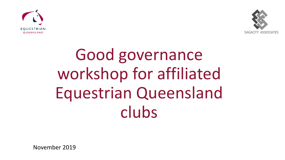



# Good governance workshop for affiliated Equestrian Queensland clubs

November 2019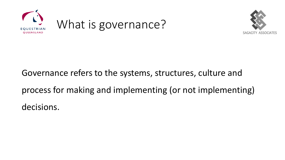



# Governance refers to the systems, structures, culture and

process for making and implementing (or not implementing)

decisions.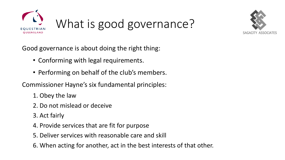



Good governance is about doing the right thing:

- Conforming with legal requirements.
- Performing on behalf of the club's members.

Commissioner Hayne's six fundamental principles:

- 1. Obey the law
- 2. Do not mislead or deceive
- 3. Act fairly
- 4. Provide services that are fit for purpose
- 5. Deliver services with reasonable care and skill
- 6. When acting for another, act in the best interests of that other.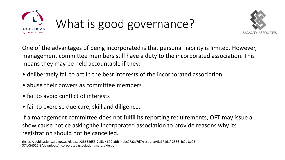



One of the advantages of being incorporated is that personal liability is limited. However, management committee members still have a duty to the incorporated association. This means they may be held accountable if they:

- deliberately fail to act in the best interests of the incorporated association
- abuse their powers as committee members
- fail to avoid conflict of interests
- fail to exercise due care, skill and diligence.

If a management committee does not fulfil its reporting requirements, OFT may issue a show cause notice asking the incorporated association to provide reasons why its registration should not be cancelled.

(https://publications.qld.gov.au/dataset/28652d53-7a53-4690-afd6-4abc77a2c7d7/resource/5a17161f-2866-4c2c-8e03- 37fc0f6512f8/download/incorporatedassociationsmartguide.pdf)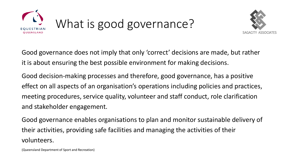



Good governance does not imply that only 'correct' decisions are made, but rather it is about ensuring the best possible environment for making decisions.

Good decision-making processes and therefore, good governance, has a positive effect on all aspects of an organisation's operations including policies and practices, meeting procedures, service quality, volunteer and staff conduct, role clarification and stakeholder engagement.

Good governance enables organisations to plan and monitor sustainable delivery of their activities, providing safe facilities and managing the activities of their volunteers.

(Queensland Department of Sport and Recreation)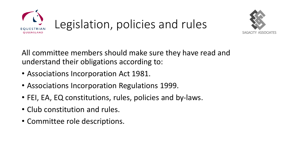



All committee members should make sure they have read and understand their obligations according to:

- Associations Incorporation Act 1981.
- Associations Incorporation Regulations 1999.
- FEI, EA, EQ constitutions, rules, policies and by-laws.
- Club constitution and rules.
- Committee role descriptions.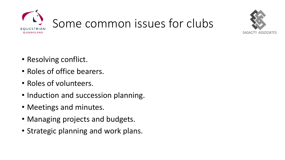



- Resolving conflict.
- Roles of office bearers.
- Roles of volunteers.
- Induction and succession planning.
- Meetings and minutes.
- Managing projects and budgets.
- Strategic planning and work plans.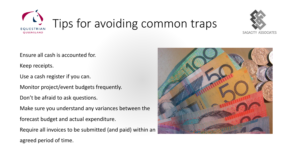



Ensure all cash is accounted for.

Keep receipts.

Use a cash register if you can.

Monitor project/event budgets frequently.

Don't be afraid to ask questions.

Make sure you understand any variances between the

forecast budget and actual expenditure.

Require all invoices to be submitted (and paid) within an agreed period of time.

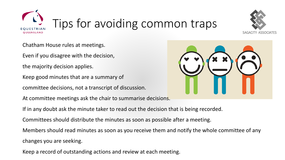



Chatham House rules at meetings.

Even if you disagree with the decision,

the majority decision applies.

Keep good minutes that are a summary of

committee decisions, not a transcript of discussion.

At committee meetings ask the chair to summarise decisions.

If in any doubt ask the minute taker to read out the decision that is being recorded.

Committees should distribute the minutes as soon as possible after a meeting.

Members should read minutes as soon as you receive them and notify the whole committee of any changes you are seeking.

Keep a record of outstanding actions and review at each meeting.

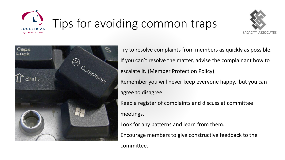





Try to resolve complaints from members as quickly as possible. If you can't resolve the matter, advise the complainant how to escalate it. (Member Protection Policy) Remember you will never keep everyone happy, but you can agree to disagree. Keep a register of complaints and discuss at committee

meetings.

Look for any patterns and learn from them.

Encourage members to give constructive feedback to the

committee.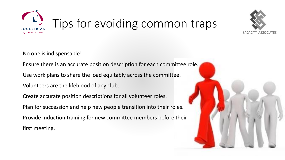



No one is indispensable!

Ensure there is an accurate position description for each committee role.

Use work plans to share the load equitably across the committee.

Volunteers are the lifeblood of any club.

Create accurate position descriptions for all volunteer roles.

Plan for succession and help new people transition into their roles.

Provide induction training for new committee members before their first meeting.

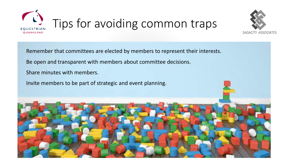



Remember that committees are elected by members to represent their interests. Be open and transparent with members about committee decisions. Share minutes with members.

Invite members to be part of strategic and event planning.

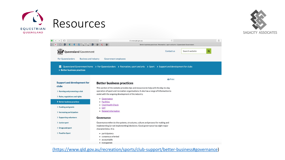





[\(https://www.qld.gov.au/recreation/sports/club-support/better-business#governance](https://www.qld.gov.au/recreation/sports/club-support/better-business#governance))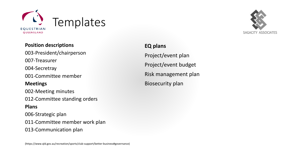



## **Position descriptions**

003-President/chairperson 007-Treasurer 004-Secretray 001-Committee member **Meetings** 002-Meeting minutes 012-Committee standing orders **Plans** 006-Strategic plan 011-Committee member work plan 013-Communication plan

**EQ plans** Project/event plan Project/event budget Risk management plan Biosecurity plan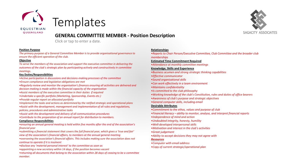



### **GENERAL COMMITTEE MEMBER - Position Description**

Click or tap to enter a date.

#### **Position Purpose**

*The primary purpose of a General Committee Member is to provide organisational governance to ensure the efficient operation of the club.*

#### **Objective**

*To serve the members of the association and support the executive committee in delivering the outcomes of the club's strategic plan by participating actively and constructively in committee meetings.*

#### **Key Duties/Responsibilities**

- •*Active participation in discussions and decisions-making processes of the committee*
- •*Ensure compliance and legislative obligations are met*
- •*Regularly review and monitor the organisation's finances ensuring all activities are delivered and decision-making is made within the financial capacity of the organisation*
- •*Assist members of the executive committee in their duties if required*
- •*Undertake a specific portfolio (Marketing, Sponsorship, Events etc.)*
- •*Provide regular report on allocated portfolio*
- •*Implement the tasks and actions as determined by the ratified strategic and operational plans*
- •*Assist with the development, management and implementation of all rules and regulations, policies, procedures and administrative tasks*
- •*Assist with the development and delivery of all communication procedures*
- •*Contribute to the preparation of an annual report for distribution to members.*

#### **Compliance Responsibilities**

- •*ensuring an annual general meeting is held within five months after the end of the association's financial year*
- •*submitting a financial statement that covers the full financial year, which gives a 'true and fair' view of the association's financial affairs, to members at the annual general meeting*
- •*overseeing the association's financial affairs. This includes making sure the association does not continue to operate if it is insolvent*
- •*disclose any 'material personal interest' to the committee as soon as*
- •*appointing a new secretary within 14 days, if the position becomes vacant*
- •*returning all documents that belong to the association within 28 days of ceasing to be a committee member.*

#### **Relationships**

•*Reports to Chair Person/Executive Committee, Club Committee and the broader club memberships*

#### **Estimated Time Commitment Required**

•*Attendance at monthly committee meetings*

#### **Knowledge, Skills and Experience**

- •*Business acumen and strong strategic thinking capabilities*
- •*Effective communicator*
- •*Sound organisational skills*
- •*Can work effectively in a team environment*
- •*Maintains confidentiality*
- •*Is committed to the club philosophy*
- •*Working knowledge of the club's Constitution, rules and duties of office bearers*
- •*Awareness of club's purpose and strategic objectives*
- •*General computer skills, including email*

#### **Desirable Attributes**

- •*Commitment to the ethos, values and purpose of club*
- •*Financial literacy – ability to monitor, analyse, and interpret financial reports*
- •*Independence of mind and action*
- •*Undoubted integrity, honesty, humility*
- •*Well-developed interpersonal skills*
- •*Motivation and interest in the club's activities*
- •*Great judgement*
- •*Ability to accept decisions they may not agree with*

#### *Resources*

- •*Computer with email address*
- •*Copy of current strategic/operational plan*